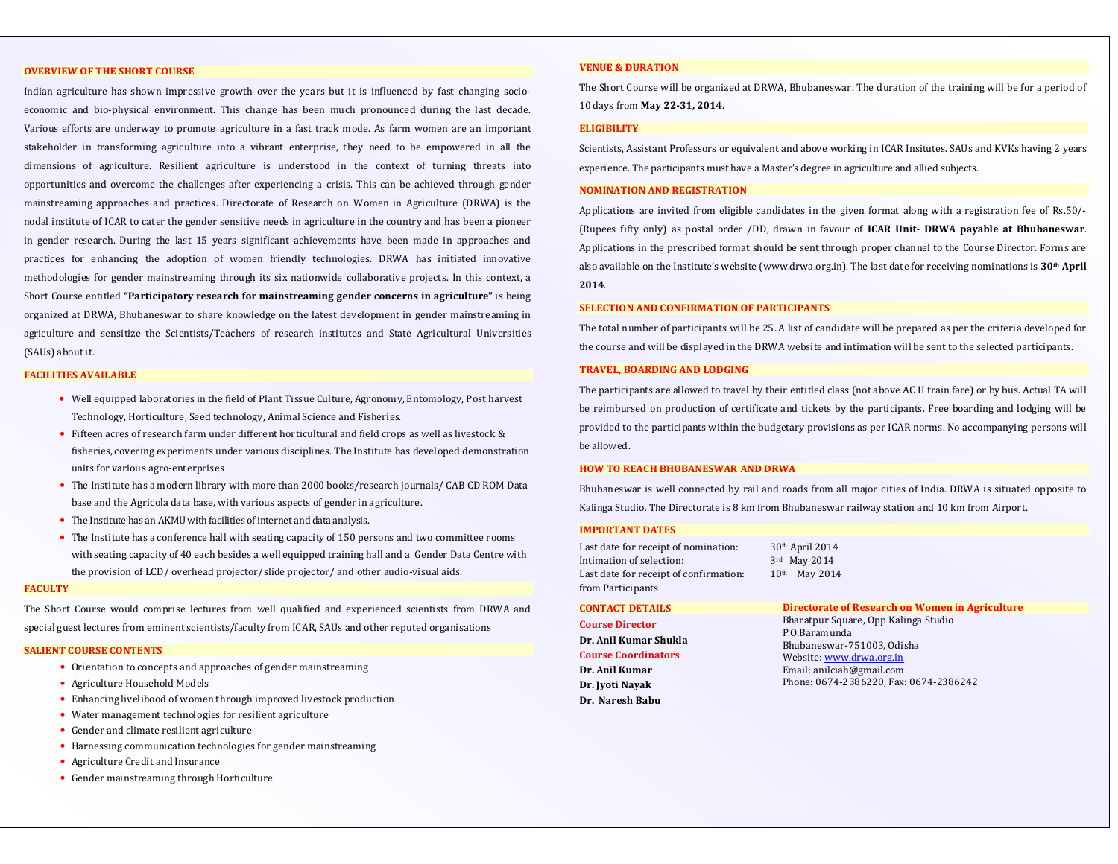#### **OVERVIEW OF THE SHORT COURSE**

Indian agriculture has shown impressive growth over the years but it is influenced by fast changing socioeconomic and bio-physical environment. This change has been much pronounced during the last decade. Various efforts are underway to promote agriculture in a fast track mode. As farm women are an important stakeholder in transforming agriculture into a vibrant enterprise, they need to be empowered in all the dimensions of agriculture. Resilient agriculture is understood in the context of turning threats into opportunities and overcome the challenges after experiencing a crisis. This can be achieved through gender mainstreaming approaches and practices. Directorate of Research on Women in Agriculture (DRWA) is the nodal institute of ICAR to cater the gender sensitive needs in agriculture in the country and has been a pioneer in gender research. During the last 15 years significant achievements have been made in approaches andpractices for enhancing the adoption of women friendly technologies. DRWA has initiated innovative methodologies for gender mainstreaming through its six nationwide collaborative projects. In this context, a Short Course entitled **"Participatory research for mainstreaming gender concerns in agriculture"** is being organized at DRWA, Bhubaneswar to share knowledge on the latest development in gender mainstreaming inagriculture and sensitize the Scientists/Teachers of research institutes and State Agricultural Universities (SAUs) about it.

#### **FACILITIES AVAILABLE**

- Well equipped laboratories in the field of Plant Tissue Culture, Agronomy, Entomology, Post harvest Technology, Horticulture, Seed technology, Animal Science and Fisheries.
- Fifteen acres of research farm under different horticultural and field crops as well as livestock & fisheries, covering experiments under various disciplines. The Institute has developed demonstration units for various agro-enterprises
- The Institute has a modern library with more than 2000 books/research journals/ CAB CD ROM Data base and the Agricola data base, with various aspects of gender in agriculture.
- The Institute has an AKMU with facilities of internet and data analysis.
- The Institute has a conference hall with seating capacity of 150 persons and two committee rooms with seating capacity of 40 each besides a well equipped training hall and a Gender Data Centre with the provision of LCD/ overhead projector/slide projector/ and other audio-visual aids.

#### **FACULTY**

The Short Course would comprise lectures from well qualified and experienced scientists from DRWA and special guest lectures from eminent scientists/faculty from ICAR, SAUs and other reputed organisations

#### **SALIENT COURSE CONTENTS**

- Orientation to concepts and approaches of gender mainstreaming
- Agriculture Household Models
- Enhancing livelihood of women through improved livestock production
- Water management technologies for resilient agriculture
- Gender and climate resilient agriculture
- Harnessing communication technologies for gender mainstreaming
- Agriculture Credit and Insurance
- Gender mainstreaming through Horticulture

#### **VENUE & DURATION**

The Short Course will be organized at DRWA, Bhubaneswar. The duration of the training will be for a period of 10 days from **May 22-31, 2014**.

#### **ELIGIBILITY**

Scientists, Assistant Professors or equivalent and above working in ICAR Insitutes. SAUs and KVKs having 2 years experience. The participants must have a Master's degree in agriculture and allied subjects.

#### **NOMINATION AND REGISTRATION**

Applications are invited from eligible candidates in the given format along with a registration fee of Rs.50/-(Rupees fifty only) as postal order /DD, drawn in favour of **ICAR Unit- DRWA payable at Bhubaneswar**. Applications in the prescribed format should be sent through proper channel to the Course Director. Forms are also available on the Institute's website (www.drwa.org.in). The last date for receiving nominations is **30th April 2014**.

#### **SELECTION AND CONFIRMATION OF PARTICIPANTS**

The total number of participants will be 25. A list of candidate will be prepared as per the criteria developed for the course and will be displayed in the DRWA website and intimation will be sent to the selected participants.

#### **TRAVEL, BOARDING AND LODGING**

The participants are allowed to travel by their entitled class (not above AC II train fare) or by bus. Actual TA will be reimbursed on production of certificate and tickets by the participants. Free boarding and lodging will be provided to the participants within the budgetary provisions as per ICAR norms. No accompanying persons will be allowed.

#### **HOW TO REACH BHUBANESWAR AND DRWA**

Bhubaneswar is well connected by rail and roads from all major cities of India. DRWA is situated opposite to Kalinga Studio. The Directorate is 8 km from Bhubaneswar railway station and 10 km from Airport.

#### **IMPORTANT DATES**

| Last date for receipt of nomination:   | $30th$ April 2014            |
|----------------------------------------|------------------------------|
| Intimation of selection:               | $3rd$ May 2014               |
| Last date for receipt of confirmation: | May 2014<br>10 <sup>th</sup> |
| from Participants                      |                              |

#### **CONTACT DETAILS**

**Course Director Dr. Anil Kumar Shukla** 

### **Course Coordinators**

**Dr. Anil Kumar Dr. Jyoti Nayak Dr. Naresh Babu**  **Directorate of Research on Women in Agriculture**Bharatpur Square, Opp Kalinga Studio P.O.Baramunda Bhubaneswar-751003, Odisha Website: www.drwa.org.in Email: anilciah@gmail.com Phone: 0674-2386220, Fax: 0674-2386242